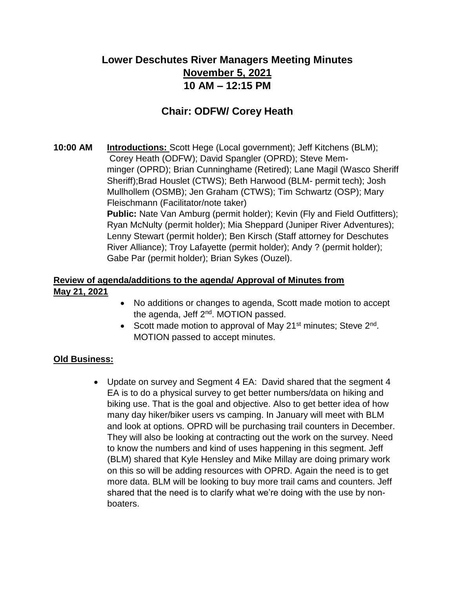# **Lower Deschutes River Managers Meeting Minutes November 5, 2021 10 AM – 12:15 PM**

## **Chair: ODFW/ Corey Heath**

**10:00 AM Introductions:** Scott Hege (Local government); Jeff Kitchens (BLM); Corey Heath (ODFW); David Spangler (OPRD); Steve Memminger (OPRD); Brian Cunninghame (Retired); Lane Magil (Wasco Sheriff Sheriff);Brad Houslet (CTWS); Beth Harwood (BLM- permit tech); Josh Mullhollem (OSMB); Jen Graham (CTWS); Tim Schwartz (OSP); Mary Fleischmann (Facilitator/note taker)

**Public:** Nate Van Amburg (permit holder); Kevin (Fly and Field Outfitters); Ryan McNulty (permit holder); Mia Sheppard (Juniper River Adventures); Lenny Stewart (permit holder); Ben Kirsch (Staff attorney for Deschutes River Alliance); Troy Lafayette (permit holder); Andy ? (permit holder); Gabe Par (permit holder); Brian Sykes (Ouzel).

### **Review of agenda/additions to the agenda/ Approval of Minutes from May 21, 2021**

- No additions or changes to agenda, Scott made motion to accept the agenda, Jeff 2<sup>nd</sup>. MOTION passed.
- Scott made motion to approval of May 21<sup>st</sup> minutes; Steve 2<sup>nd</sup>. MOTION passed to accept minutes.

#### **Old Business:**

• Update on survey and Segment 4 EA: David shared that the segment 4 EA is to do a physical survey to get better numbers/data on hiking and biking use. That is the goal and objective. Also to get better idea of how many day hiker/biker users vs camping. In January will meet with BLM and look at options. OPRD will be purchasing trail counters in December. They will also be looking at contracting out the work on the survey. Need to know the numbers and kind of uses happening in this segment. Jeff (BLM) shared that Kyle Hensley and Mike Millay are doing primary work on this so will be adding resources with OPRD. Again the need is to get more data. BLM will be looking to buy more trail cams and counters. Jeff shared that the need is to clarify what we're doing with the use by nonboaters.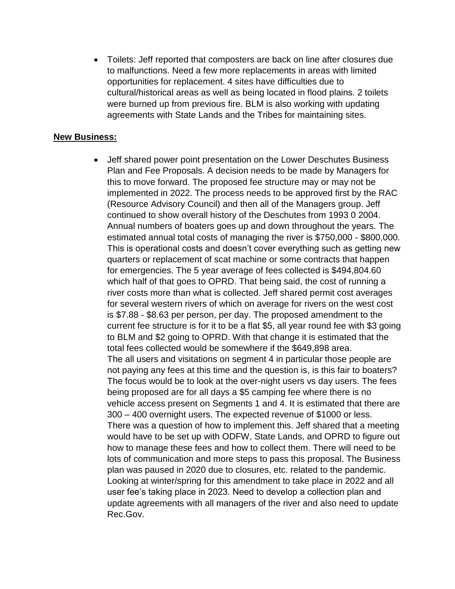• Toilets: Jeff reported that composters are back on line after closures due to malfunctions. Need a few more replacements in areas with limited opportunities for replacement. 4 sites have difficulties due to cultural/historical areas as well as being located in flood plains. 2 toilets were burned up from previous fire. BLM is also working with updating agreements with State Lands and the Tribes for maintaining sites.

#### **New Business:**

• Jeff shared power point presentation on the Lower Deschutes Business Plan and Fee Proposals. A decision needs to be made by Managers for this to move forward. The proposed fee structure may or may not be implemented in 2022. The process needs to be approved first by the RAC (Resource Advisory Council) and then all of the Managers group. Jeff continued to show overall history of the Deschutes from 1993 0 2004. Annual numbers of boaters goes up and down throughout the years. The estimated annual total costs of managing the river is \$750,000 - \$800,000. This is operational costs and doesn't cover everything such as getting new quarters or replacement of scat machine or some contracts that happen for emergencies. The 5 year average of fees collected is \$494,804.60 which half of that goes to OPRD. That being said, the cost of running a river costs more than what is collected. Jeff shared permit cost averages for several western rivers of which on average for rivers on the west cost is \$7.88 - \$8.63 per person, per day. The proposed amendment to the current fee structure is for it to be a flat \$5, all year round fee with \$3 going to BLM and \$2 going to OPRD. With that change it is estimated that the total fees collected would be somewhere if the \$649,898 area. The all users and visitations on segment 4 in particular those people are not paying any fees at this time and the question is, is this fair to boaters? The focus would be to look at the over-night users vs day users. The fees being proposed are for all days a \$5 camping fee where there is no vehicle access present on Segments 1 and 4. It is estimated that there are 300 – 400 overnight users. The expected revenue of \$1000 or less. There was a question of how to implement this. Jeff shared that a meeting would have to be set up with ODFW, State Lands, and OPRD to figure out how to manage these fees and how to collect them. There will need to be lots of communication and more steps to pass this proposal. The Business plan was paused in 2020 due to closures, etc. related to the pandemic. Looking at winter/spring for this amendment to take place in 2022 and all user fee's taking place in 2023. Need to develop a collection plan and update agreements with all managers of the river and also need to update Rec.Gov.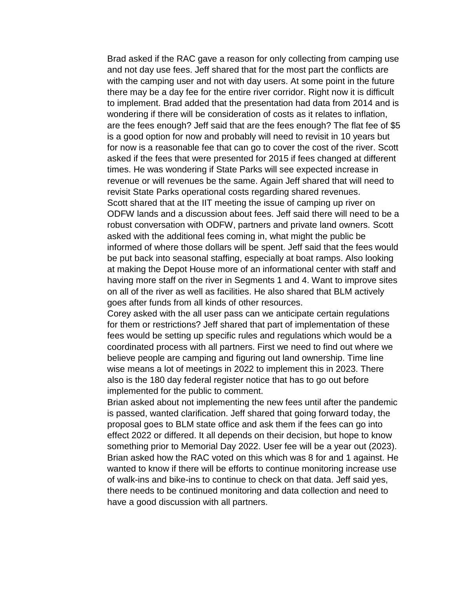Brad asked if the RAC gave a reason for only collecting from camping use and not day use fees. Jeff shared that for the most part the conflicts are with the camping user and not with day users. At some point in the future there may be a day fee for the entire river corridor. Right now it is difficult to implement. Brad added that the presentation had data from 2014 and is wondering if there will be consideration of costs as it relates to inflation, are the fees enough? Jeff said that are the fees enough? The flat fee of \$5 is a good option for now and probably will need to revisit in 10 years but for now is a reasonable fee that can go to cover the cost of the river. Scott asked if the fees that were presented for 2015 if fees changed at different times. He was wondering if State Parks will see expected increase in revenue or will revenues be the same. Again Jeff shared that will need to revisit State Parks operational costs regarding shared revenues. Scott shared that at the IIT meeting the issue of camping up river on ODFW lands and a discussion about fees. Jeff said there will need to be a robust conversation with ODFW, partners and private land owners. Scott asked with the additional fees coming in, what might the public be informed of where those dollars will be spent. Jeff said that the fees would be put back into seasonal staffing, especially at boat ramps. Also looking at making the Depot House more of an informational center with staff and having more staff on the river in Segments 1 and 4. Want to improve sites on all of the river as well as facilities. He also shared that BLM actively goes after funds from all kinds of other resources.

Corey asked with the all user pass can we anticipate certain regulations for them or restrictions? Jeff shared that part of implementation of these fees would be setting up specific rules and regulations which would be a coordinated process with all partners. First we need to find out where we believe people are camping and figuring out land ownership. Time line wise means a lot of meetings in 2022 to implement this in 2023. There also is the 180 day federal register notice that has to go out before implemented for the public to comment.

Brian asked about not implementing the new fees until after the pandemic is passed, wanted clarification. Jeff shared that going forward today, the proposal goes to BLM state office and ask them if the fees can go into effect 2022 or differed. It all depends on their decision, but hope to know something prior to Memorial Day 2022. User fee will be a year out (2023). Brian asked how the RAC voted on this which was 8 for and 1 against. He wanted to know if there will be efforts to continue monitoring increase use of walk-ins and bike-ins to continue to check on that data. Jeff said yes, there needs to be continued monitoring and data collection and need to have a good discussion with all partners.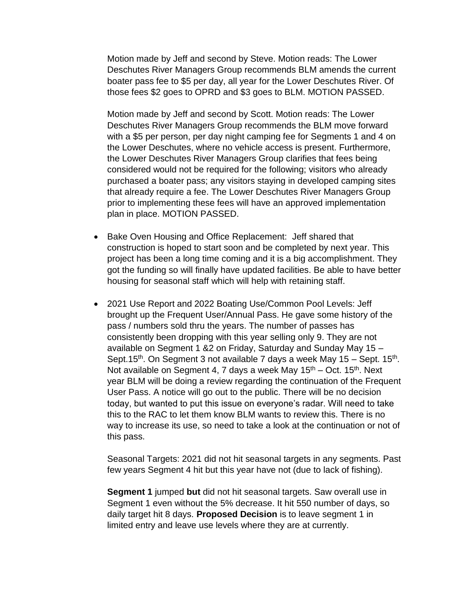Motion made by Jeff and second by Steve. Motion reads: The Lower Deschutes River Managers Group recommends BLM amends the current boater pass fee to \$5 per day, all year for the Lower Deschutes River. Of those fees \$2 goes to OPRD and \$3 goes to BLM. MOTION PASSED.

Motion made by Jeff and second by Scott. Motion reads: The Lower Deschutes River Managers Group recommends the BLM move forward with a \$5 per person, per day night camping fee for Segments 1 and 4 on the Lower Deschutes, where no vehicle access is present. Furthermore, the Lower Deschutes River Managers Group clarifies that fees being considered would not be required for the following; visitors who already purchased a boater pass; any visitors staying in developed camping sites that already require a fee. The Lower Deschutes River Managers Group prior to implementing these fees will have an approved implementation plan in place. MOTION PASSED.

- Bake Oven Housing and Office Replacement: Jeff shared that construction is hoped to start soon and be completed by next year. This project has been a long time coming and it is a big accomplishment. They got the funding so will finally have updated facilities. Be able to have better housing for seasonal staff which will help with retaining staff.
- 2021 Use Report and 2022 Boating Use/Common Pool Levels: Jeff brought up the Frequent User/Annual Pass. He gave some history of the pass / numbers sold thru the years. The number of passes has consistently been dropping with this year selling only 9. They are not available on Segment 1 &2 on Friday, Saturday and Sunday May 15 – Sept.15<sup>th</sup>. On Segment 3 not available 7 days a week May 15 – Sept. 15<sup>th</sup>. Not available on Segment 4, 7 days a week May  $15<sup>th</sup>$  – Oct. 15<sup>th</sup>. Next year BLM will be doing a review regarding the continuation of the Frequent User Pass. A notice will go out to the public. There will be no decision today, but wanted to put this issue on everyone's radar. Will need to take this to the RAC to let them know BLM wants to review this. There is no way to increase its use, so need to take a look at the continuation or not of this pass.

Seasonal Targets: 2021 did not hit seasonal targets in any segments. Past few years Segment 4 hit but this year have not (due to lack of fishing).

**Segment 1** jumped **but** did not hit seasonal targets. Saw overall use in Segment 1 even without the 5% decrease. It hit 550 number of days, so daily target hit 8 days. **Proposed Decision** is to leave segment 1 in limited entry and leave use levels where they are at currently.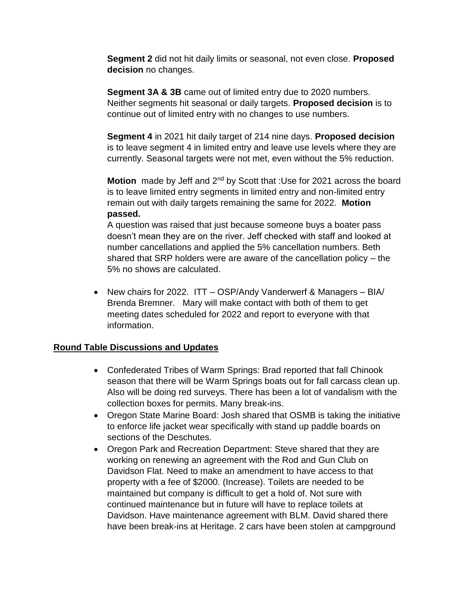**Segment 2** did not hit daily limits or seasonal, not even close. **Proposed decision** no changes.

**Segment 3A & 3B** came out of limited entry due to 2020 numbers. Neither segments hit seasonal or daily targets. **Proposed decision** is to continue out of limited entry with no changes to use numbers.

**Segment 4** in 2021 hit daily target of 214 nine days. **Proposed decision**  is to leave segment 4 in limited entry and leave use levels where they are currently. Seasonal targets were not met, even without the 5% reduction.

**Motion** made by Jeff and 2<sup>nd</sup> by Scott that :Use for 2021 across the board is to leave limited entry segments in limited entry and non-limited entry remain out with daily targets remaining the same for 2022. **Motion passed.**

A question was raised that just because someone buys a boater pass doesn't mean they are on the river. Jeff checked with staff and looked at number cancellations and applied the 5% cancellation numbers. Beth shared that SRP holders were are aware of the cancellation policy – the 5% no shows are calculated.

• New chairs for 2022. ITT – OSP/Andy Vanderwerf & Managers – BIA/ Brenda Bremner. Mary will make contact with both of them to get meeting dates scheduled for 2022 and report to everyone with that information.

#### **Round Table Discussions and Updates**

- Confederated Tribes of Warm Springs: Brad reported that fall Chinook season that there will be Warm Springs boats out for fall carcass clean up. Also will be doing red surveys. There has been a lot of vandalism with the collection boxes for permits. Many break-ins.
- Oregon State Marine Board: Josh shared that OSMB is taking the initiative to enforce life jacket wear specifically with stand up paddle boards on sections of the Deschutes.
- Oregon Park and Recreation Department: Steve shared that they are working on renewing an agreement with the Rod and Gun Club on Davidson Flat. Need to make an amendment to have access to that property with a fee of \$2000. (Increase). Toilets are needed to be maintained but company is difficult to get a hold of. Not sure with continued maintenance but in future will have to replace toilets at Davidson. Have maintenance agreement with BLM. David shared there have been break-ins at Heritage. 2 cars have been stolen at campground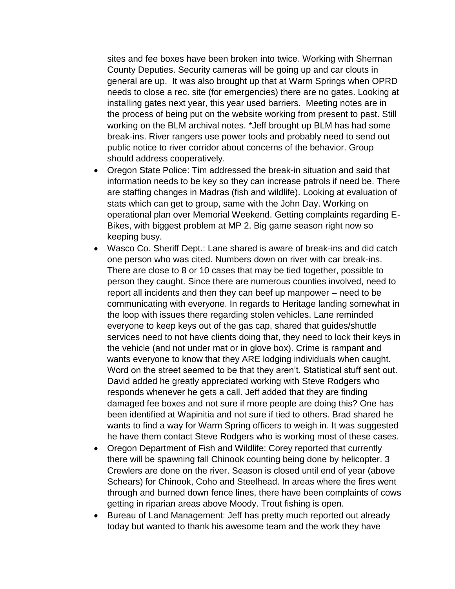sites and fee boxes have been broken into twice. Working with Sherman County Deputies. Security cameras will be going up and car clouts in general are up. It was also brought up that at Warm Springs when OPRD needs to close a rec. site (for emergencies) there are no gates. Looking at installing gates next year, this year used barriers. Meeting notes are in the process of being put on the website working from present to past. Still working on the BLM archival notes. \*Jeff brought up BLM has had some break-ins. River rangers use power tools and probably need to send out public notice to river corridor about concerns of the behavior. Group should address cooperatively.

- Oregon State Police: Tim addressed the break-in situation and said that information needs to be key so they can increase patrols if need be. There are staffing changes in Madras (fish and wildlife). Looking at evaluation of stats which can get to group, same with the John Day. Working on operational plan over Memorial Weekend. Getting complaints regarding E-Bikes, with biggest problem at MP 2. Big game season right now so keeping busy.
- Wasco Co. Sheriff Dept.: Lane shared is aware of break-ins and did catch one person who was cited. Numbers down on river with car break-ins. There are close to 8 or 10 cases that may be tied together, possible to person they caught. Since there are numerous counties involved, need to report all incidents and then they can beef up manpower – need to be communicating with everyone. In regards to Heritage landing somewhat in the loop with issues there regarding stolen vehicles. Lane reminded everyone to keep keys out of the gas cap, shared that guides/shuttle services need to not have clients doing that, they need to lock their keys in the vehicle (and not under mat or in glove box). Crime is rampant and wants everyone to know that they ARE lodging individuals when caught. Word on the street seemed to be that they aren't. Statistical stuff sent out. David added he greatly appreciated working with Steve Rodgers who responds whenever he gets a call. Jeff added that they are finding damaged fee boxes and not sure if more people are doing this? One has been identified at Wapinitia and not sure if tied to others. Brad shared he wants to find a way for Warm Spring officers to weigh in. It was suggested he have them contact Steve Rodgers who is working most of these cases.
- Oregon Department of Fish and Wildlife: Corey reported that currently there will be spawning fall Chinook counting being done by helicopter. 3 Crewlers are done on the river. Season is closed until end of year (above Schears) for Chinook, Coho and Steelhead. In areas where the fires went through and burned down fence lines, there have been complaints of cows getting in riparian areas above Moody. Trout fishing is open.
- Bureau of Land Management: Jeff has pretty much reported out already today but wanted to thank his awesome team and the work they have